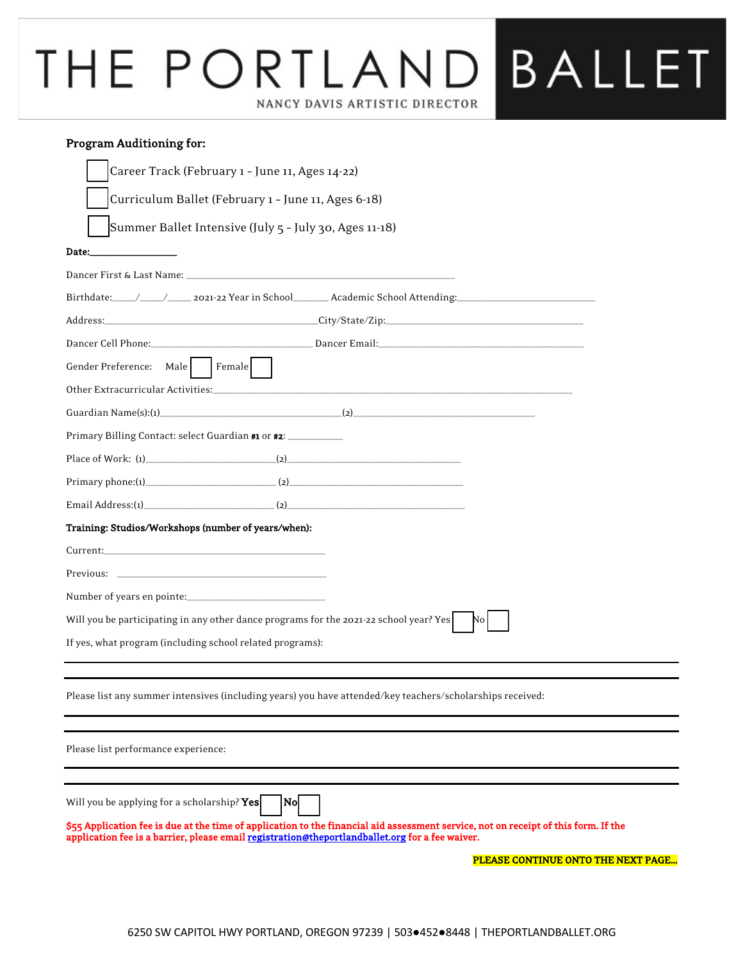# **BALLET** THE PORTLAND NANCY DAVIS ARTISTIC DIRECTOR

#### Program Auditioning for:

| Career Track (February 1 - June 11, Ages 14-22)                                                           |
|-----------------------------------------------------------------------------------------------------------|
| Curriculum Ballet (February 1 - June 11, Ages 6-18)                                                       |
| Summer Ballet Intensive (July 5 - July 30, Ages 11-18)                                                    |
| Date:<br>the control of the control of the                                                                |
|                                                                                                           |
|                                                                                                           |
|                                                                                                           |
|                                                                                                           |
| Gender Preference: Male Female                                                                            |
|                                                                                                           |
|                                                                                                           |
| Primary Billing Contact: select Guardian #1 or #2: ____________                                           |
|                                                                                                           |
|                                                                                                           |
|                                                                                                           |
| Training: Studios/Workshops (number of years/when):                                                       |
|                                                                                                           |
|                                                                                                           |
|                                                                                                           |
| Will you be participating in any other dance programs for the 2021-22 school year? Yes<br>No I            |
| If yes, what program (including school related programs):                                                 |
|                                                                                                           |
| Please list any summer intensives (including years) you have attended/key teachers/scholarships received: |
|                                                                                                           |
| Please list performance experience:                                                                       |
|                                                                                                           |
| Will you be applying for a scholarship? Yes<br> N0                                                        |

\$55 Application fee is due at the time of application to the financial aid assessment service, not on receipt of this form. If the application fee is a barrier, please email registration@theportlandballet.org for a fee waiver.

PLEASE CONTINUE ONTO THE NEXT PAGE...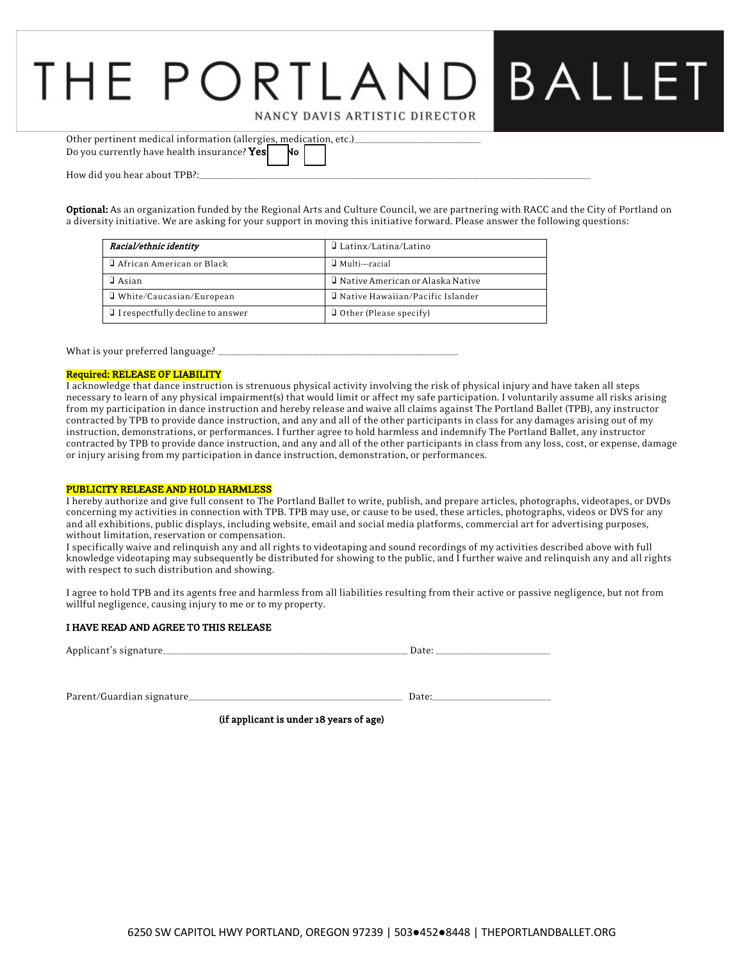### BALLET THE PORTLAN NANCY DAVIS ARTISTIC DIRECTOR

| Other pertinent medical information (allergies, medication, etc.) |     |  |  |
|-------------------------------------------------------------------|-----|--|--|
| Do you currently have health insurance? <b>Yes</b>                | No. |  |  |
|                                                                   |     |  |  |

How did you hear about TPB?:\_

Optional: As an organization funded by the Regional Arts and Culture Council, we are partnering with RACC and the City of Portland on a diversity initiative. We are asking for your support in moving this initiative forward. Please answer the following questions:

| Racial/ethnic identity                  | $\Box$ Latinx/Latina/Latino               |
|-----------------------------------------|-------------------------------------------|
| <b>J</b> African American or Black      | Multi--racial                             |
| ∃ Asian.                                | <b>J</b> Native American or Alaska Native |
| □ White/Caucasian/European              | Native Hawaiian/Pacific Islander          |
| $\Box$ I respectfully decline to answer | <b>Q</b> Other (Please specify)           |

What is your preferred language? \_

#### Required: RELEASE OF LIABILITY

I acknowledge that dance instruction is strenuous physical activity involving the risk of physical injury and have taken all steps necessary to learn of any physical impairment(s) that would limit or affect my safe participation. I voluntarily assume all risks arising from my participation in dance instruction and hereby release and waive all claims against The Portland Ballet (TPB), any instructor contracted by TPB to provide dance instruction, and any and all of the other participants in class for any damages arising out of my instruction, demonstrations, or performances. I further agree to hold harmless and indemnify The Portland Ballet, any instructor contracted by TPB to provide dance instruction, and any and all of the other participants in class from any loss, cost, or expense, damage or injury arising from my participation in dance instruction, demonstration, or performances.

#### PUBLICITY RELEASE AND HOLD HARMLESS

I hereby authorize and give full consent to The Portland Ballet to write, publish, and prepare articles, photographs, videotapes, or DVDs concerning my activities in connection with TPB. TPB may use, or cause to be used, these articles, photographs, videos or DVS for any and all exhibitions, public displays, including website, email and social media platforms, commercial art for advertising purposes, without limitation, reservation or compensation.

I specifically waive and relinquish any and all rights to videotaping and sound recordings of my activities described above with full knowledge videotaping may subsequently be distributed for showing to the public, and I further waive and relinquish any and all rights with respect to such distribution and showing.

I agree to hold TPB and its agents free and harmless from all liabilities resulting from their active or passive negligence, but not from willful negligence, causing injury to me or to my property.

#### I HAVE READ AND AGREE TO THIS RELEASE

| Applicant's signature | ı)ate |  |
|-----------------------|-------|--|
|                       |       |  |
|                       |       |  |

Parent/Guardian signature\_\_\_\_\_\_\_\_\_\_\_\_\_\_\_\_\_\_\_\_\_\_\_\_\_\_\_\_\_\_\_\_\_\_\_\_\_\_\_\_\_\_\_\_\_\_\_\_\_\_\_\_\_\_ Date:\_\_\_\_\_\_\_\_\_\_\_\_\_\_\_\_\_\_\_\_\_\_\_\_\_\_\_\_\_\_

(if applicant is under 18 years of age)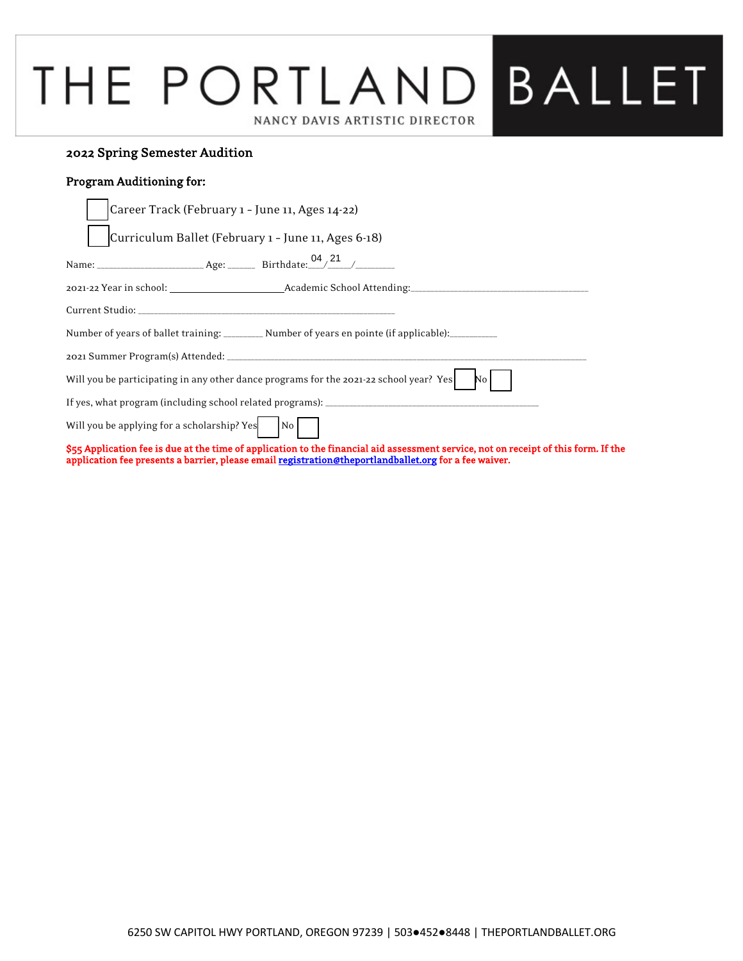### PLEASE CONTINUE i NANCY DAVIS ARTISTIC DIRECTOR

#### 2022 Spring Semester Audition

#### Program Auditioning for:

 $\overline{a}$ 

| Career Track (February 1 - June 11, Ages 14-22)                                                                                                                                                                                              |
|----------------------------------------------------------------------------------------------------------------------------------------------------------------------------------------------------------------------------------------------|
| Curriculum Ballet (February 1 - June 11, Ages 6-18)                                                                                                                                                                                          |
|                                                                                                                                                                                                                                              |
|                                                                                                                                                                                                                                              |
|                                                                                                                                                                                                                                              |
| Number of years of ballet training: __________ Number of years en pointe (if applicable): __________                                                                                                                                         |
|                                                                                                                                                                                                                                              |
| Will you be participating in any other dance programs for the 2021-22 school year? Yes<br>No                                                                                                                                                 |
|                                                                                                                                                                                                                                              |
| Will you be applying for a scholarship? Yes $N_0$                                                                                                                                                                                            |
| \$55 Application fee is due at the time of application to the financial aid assessment service, not on receipt of this form. If the<br>application fee presents a barrier, please email registration@theportlandballet.org for a fee waiver. |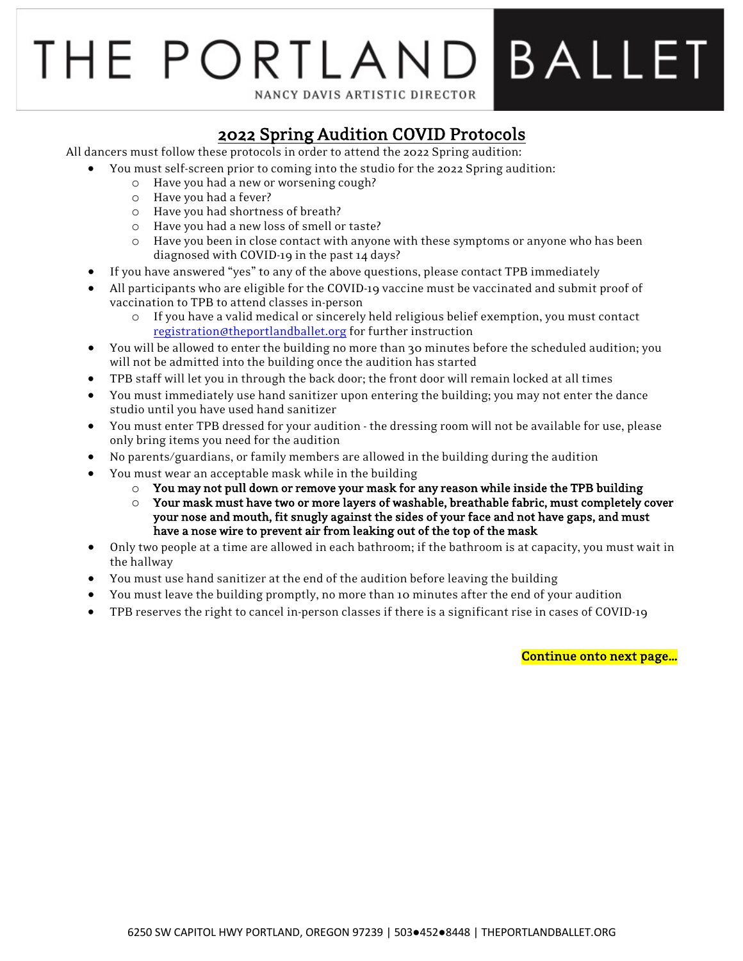# **BALLET** THE PORTLAI NANCY DAVIS ARTISTIC DIRECTOR

**2022 Spring Audition COVID Protocols**<br>All dancers must follow these protocols in order to attend the 2022 Spring audition:

- You must self-screen prior to coming into the studio for the 2022 Spring audition:
	- o Have you had a new or worsening cough?
	- o Have you had a fever?
	- o Have you had shortness of breath?
	- o Have you had a new loss of smell or taste?
	- o Have you been in close contact with anyone with these symptoms or anyone who has been diagnosed with COVID-19 in the past 14 days?
- If you have answered "yes" to any of the above questions, please contact TPB immediately
- All participants who are eligible for the COVID-19 vaccine must be vaccinated and submit proof of vaccination to TPB to attend classes in-person
	- o If you have a valid medical or sincerely held religious belief exemption, you must contact registration@theportlandballet.org for further instruction
- You will be allowed to enter the building no more than 30 minutes before the scheduled audition; you will not be admitted into the building once the audition has started
- TPB staff will let you in through the back door; the front door will remain locked at all times
- You must immediately use hand sanitizer upon entering the building; you may not enter the dance studio until you have used hand sanitizer
- You must enter TPB dressed for your audition the dressing room will not be available for use, please only bring items you need for the audition
- No parents/guardians, or family members are allowed in the building during the audition
- You must wear an acceptable mask while in the building
	- $\circ$  You may not pull down or remove your mask for any reason while inside the TPB building
	- $\circ$  Your mask must have two or more layers of washable, breathable fabric, must completely cover your nose and mouth, fit snugly against the sides of your face and not have gaps, and must have a nose wire to prevent air from leaking out of the top of the mask
- Only two people at a time are allowed in each bathroom; if the bathroom is at capacity, you must wait in the hallway
- You must use hand sanitizer at the end of the audition before leaving the building
- You must leave the building promptly, no more than 10 minutes after the end of your audition
- TPB reserves the right to cancel in-person classes if there is a significant rise in cases of COVID-19

Continue onto next page...